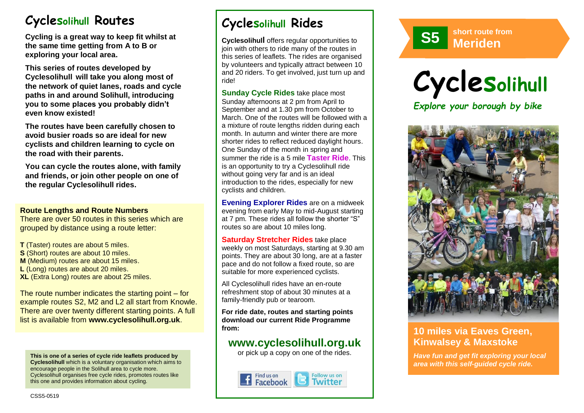# **Cyclesolihull Routes**

**Cycling is a great way to keep fit whilst at the same time getting from A to B or exploring your local area.** 

**This series of routes developed by Cyclesolihull will take you along most of the network of quiet lanes, roads and cycle paths in and around Solihull, introducing you to some places you probably didn't even know existed!**

**The routes have been carefully chosen to avoid busier roads so are ideal for new cyclists and children learning to cycle on the road with their parents.** 

**You can cycle the routes alone, with family and friends, or join other people on one of the regular Cyclesolihull rides.**

#### **Route Lengths and Route Numbers**

There are over 50 routes in this series which are grouped by distance using a route letter:

**T** (Taster) routes are about 5 miles. **S** (Short) routes are about 10 miles. **M** (Medium) routes are about 15 miles. **L** (Long) routes are about 20 miles. **XL** (Extra Long) routes are about 25 miles.

The route number indicates the starting point – for example routes S2, M2 and L2 all start from Knowle. There are over twenty different starting points. A full list is available from **www.cyclesolihull.org.uk**.

**This is one of a series of cycle ride leaflets produced by Cyclesolihull** which is a voluntary organisation which aims to encourage people in the Solihull area to cycle more. Cyclesolihull organises free cycle rides, promotes routes like this one and provides information about cycling.

# **Cyclesolihull Rides**

**Cyclesolihull** offers regular opportunities to join with others to ride many of the routes in this series of leaflets. The rides are organised by volunteers and typically attract between 10 and 20 riders. To get involved, just turn up and ride!

**Sunday Cycle Rides** take place most Sunday afternoons at 2 pm from April to September and at 1.30 pm from October to March. One of the routes will be followed with a a mixture of route lengths ridden during each month. In autumn and winter there are more shorter rides to reflect reduced daylight hours. One Sunday of the month in spring and summer the ride is a 5 mile **Taster Ride**. This is an opportunity to try a Cyclesolihull ride without going very far and is an ideal introduction to the rides, especially for new cyclists and children.

**Evening Explorer Rides** are on a midweek evening from early May to mid-August starting at 7 pm. These rides all follow the shorter "S" routes so are about 10 miles long.

**Saturday Stretcher Rides** take place weekly on most Saturdays, starting at 9.30 am points. They are about 30 long, are at a faster pace and do not follow a fixed route, so are suitable for more experienced cyclists.

All Cyclesolihull rides have an en-route refreshment stop of about 30 minutes at a family-friendly pub or tearoom.

**For ride date, routes and starting points download our current Ride Programme from:** 

## **www.cyclesolihull.org.uk**

or pick up a copy on one of the rides.









## **10 miles via Eaves Green, Kinwalsey & Maxstoke**

*Have fun and get fit exploring your local area with this self-guided cycle ride.*